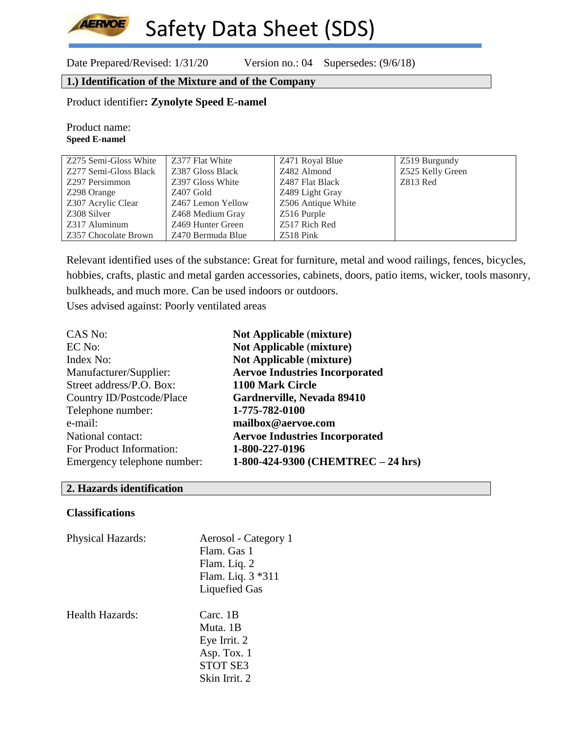Date Prepared/Revised: 1/31/20 Version no.: 04 Supersedes: (9/6/18)

## **1.) Identification of the Mixture and of the Company**

Product identifier**: Zynolyte Speed E-namel**

Product name: **Speed E-namel**

**AERVOE** 

| Z275 Semi-Gloss White | Z377 Flat White   | Z471 Royal Blue    | Z519 Burgundy    |
|-----------------------|-------------------|--------------------|------------------|
| Z277 Semi-Gloss Black | Z387 Gloss Black  | Z482 Almond        | Z525 Kelly Green |
| Z297 Persimmon        | Z397 Gloss White  | Z487 Flat Black    | Z813 Red         |
| Z298 Orange           | Z407 Gold         | Z489 Light Gray    |                  |
| Z307 Acrylic Clear    | Z467 Lemon Yellow | Z506 Antique White |                  |
| Z308 Silver           | Z468 Medium Gray  | Z516 Purple        |                  |
| Z317 Aluminum         | Z469 Hunter Green | Z517 Rich Red      |                  |
| Z357 Chocolate Brown  | Z470 Bermuda Blue | $Z518$ Pink        |                  |

Relevant identified uses of the substance: Great for furniture, metal and wood railings, fences, bicycles, hobbies, crafts, plastic and metal garden accessories, cabinets, doors, patio items, wicker, tools masonry, bulkheads, and much more. Can be used indoors or outdoors. Uses advised against: Poorly ventilated areas

| CAS No:                     | <b>Not Applicable (mixture)</b>       |
|-----------------------------|---------------------------------------|
| EC No:                      | <b>Not Applicable (mixture)</b>       |
| Index No:                   | <b>Not Applicable (mixture)</b>       |
| Manufacturer/Supplier:      | <b>Aervoe Industries Incorporated</b> |
| Street address/P.O. Box:    | 1100 Mark Circle                      |
| Country ID/Postcode/Place   | Gardnerville, Nevada 89410            |
| Telephone number:           | 1-775-782-0100                        |
| e-mail:                     | mailbox@aervoe.com                    |
| National contact:           | <b>Aervoe Industries Incorporated</b> |
| For Product Information:    | 1-800-227-0196                        |
| Emergency telephone number: | 1-800-424-9300 (CHEMTREC - 24 hrs)    |

#### **2. Hazards identification**

#### **Classifications**

| <b>Physical Hazards:</b> | Aerosol - Category 1<br>Flam. Gas 1<br>Flam. Liq. 2<br>Flam. Liq. 3 *311<br><b>Liquefied Gas</b> |
|--------------------------|--------------------------------------------------------------------------------------------------|
| Health Hazards:          | Carc. 1B<br>Muta. 1B<br>Eye Irrit. 2<br>Asp. Tox. 1<br><b>STOT SE3</b><br>Skin Irrit. 2          |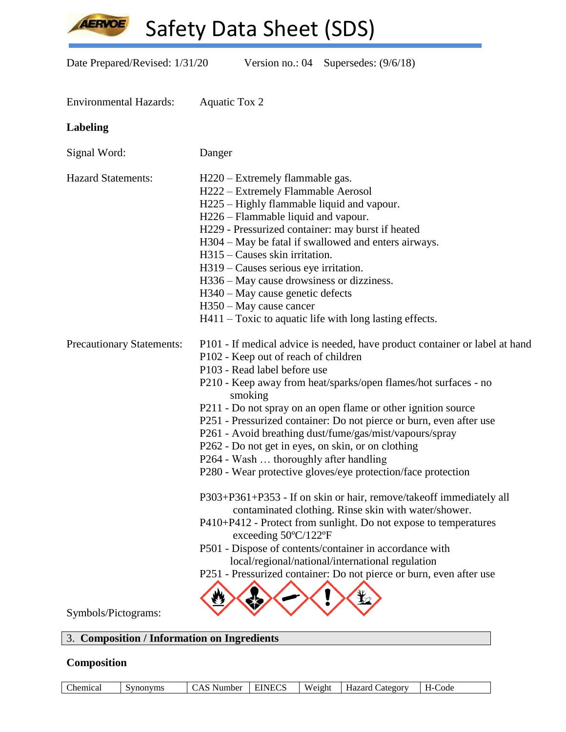**AERVOE** 

Safety Data Sheet (SDS)

Date Prepared/Revised: 1/31/20 Version no.: 04 Supersedes: (9/6/18)

| <b>Environmental Hazards:</b>    | <b>Aquatic Tox 2</b>                                                                                                                                                                                                                                                                                                                                                                                                                                                                                                                                                                                                                                                                                                                                                                                                                                                                                                                                                                                                            |
|----------------------------------|---------------------------------------------------------------------------------------------------------------------------------------------------------------------------------------------------------------------------------------------------------------------------------------------------------------------------------------------------------------------------------------------------------------------------------------------------------------------------------------------------------------------------------------------------------------------------------------------------------------------------------------------------------------------------------------------------------------------------------------------------------------------------------------------------------------------------------------------------------------------------------------------------------------------------------------------------------------------------------------------------------------------------------|
| <b>Labeling</b>                  |                                                                                                                                                                                                                                                                                                                                                                                                                                                                                                                                                                                                                                                                                                                                                                                                                                                                                                                                                                                                                                 |
| Signal Word:                     | Danger                                                                                                                                                                                                                                                                                                                                                                                                                                                                                                                                                                                                                                                                                                                                                                                                                                                                                                                                                                                                                          |
| <b>Hazard Statements:</b>        | H220 – Extremely flammable gas.<br>H222 - Extremely Flammable Aerosol<br>H225 – Highly flammable liquid and vapour.<br>H226 – Flammable liquid and vapour.<br>H229 - Pressurized container: may burst if heated<br>H304 – May be fatal if swallowed and enters airways.<br>H315 – Causes skin irritation.<br>H319 – Causes serious eye irritation.<br>H336 – May cause drowsiness or dizziness.<br>H340 – May cause genetic defects<br>H350 – May cause cancer<br>H411 – Toxic to aquatic life with long lasting effects.                                                                                                                                                                                                                                                                                                                                                                                                                                                                                                       |
| <b>Precautionary Statements:</b> | P101 - If medical advice is needed, have product container or label at hand<br>P102 - Keep out of reach of children<br>P103 - Read label before use<br>P210 - Keep away from heat/sparks/open flames/hot surfaces - no<br>smoking<br>P211 - Do not spray on an open flame or other ignition source<br>P251 - Pressurized container: Do not pierce or burn, even after use<br>P261 - Avoid breathing dust/fume/gas/mist/vapours/spray<br>P262 - Do not get in eyes, on skin, or on clothing<br>P264 - Wash  thoroughly after handling<br>P280 - Wear protective gloves/eye protection/face protection<br>P303+P361+P353 - If on skin or hair, remove/takeoff immediately all<br>contaminated clothing. Rinse skin with water/shower.<br>P410+P412 - Protect from sunlight. Do not expose to temperatures<br>exceeding $50^{\circ}$ C/122°F<br>P501 - Dispose of contents/container in accordance with<br>local/regional/national/international regulation<br>P251 - Pressurized container: Do not pierce or burn, even after use |
| Symbols/Pictograms:              |                                                                                                                                                                                                                                                                                                                                                                                                                                                                                                                                                                                                                                                                                                                                                                                                                                                                                                                                                                                                                                 |

## 3. **Composition / Information on Ingredients**

## **Composition**

| hemical).<br>svnonvms | . Number<br>$\mathbf{v}$<br>$\sim$<br>. | <b>EINECS</b> | Weight | Hazard (<br>$\mathcal{L}$ ategory | Code<br>- 1 |
|-----------------------|-----------------------------------------|---------------|--------|-----------------------------------|-------------|
|-----------------------|-----------------------------------------|---------------|--------|-----------------------------------|-------------|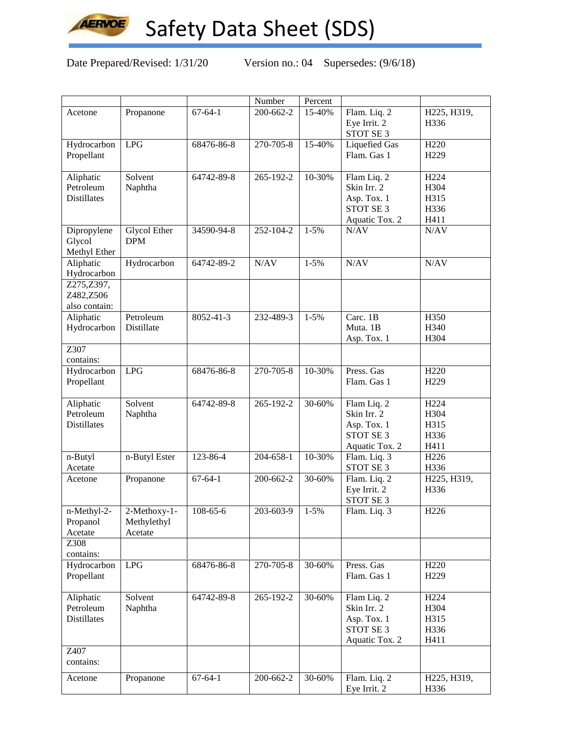

Date Prepared/Revised: 1/31/20 Version no.: 04 Supersedes: (9/6/18)

|                                              |                                        |                | Number          | Percent   |                                                                                     |                                                  |
|----------------------------------------------|----------------------------------------|----------------|-----------------|-----------|-------------------------------------------------------------------------------------|--------------------------------------------------|
| Acetone                                      | Propanone                              | $67 - 64 - 1$  | 200-662-2       | 15-40%    | Flam. Liq. 2<br>Eye Irrit. 2<br>STOT SE 3                                           | H225, H319,<br>H336                              |
|                                              | <b>LPG</b>                             |                | $270 - 705 - 8$ | 15-40%    |                                                                                     | H <sub>220</sub>                                 |
| Hydrocarbon<br>Propellant                    |                                        | 68476-86-8     |                 |           | <b>Liquefied Gas</b><br>Flam. Gas 1                                                 | H <sub>229</sub>                                 |
| Aliphatic<br>Petroleum<br><b>Distillates</b> | Solvent<br>Naphtha                     | 64742-89-8     | 265-192-2       | 10-30%    | Flam Liq. 2<br>Skin Irr. 2<br>Asp. Tox. 1<br><b>STOT SE 3</b><br>Aquatic Tox. 2     | H <sub>224</sub><br>H304<br>H315<br>H336<br>H411 |
| Dipropylene<br>Glycol<br>Methyl Ether        | <b>Glycol Ether</b><br><b>DPM</b>      | 34590-94-8     | 252-104-2       | $1 - 5%$  | N/AV                                                                                | N/AV                                             |
| Aliphatic<br>Hydrocarbon                     | Hydrocarbon                            | 64742-89-2     | N/AV            | $1 - 5%$  | N/AV                                                                                | N/AV                                             |
| Z275, Z397,<br>Z482,Z506<br>also contain:    |                                        |                |                 |           |                                                                                     |                                                  |
| Aliphatic<br>Hydrocarbon                     | Petroleum<br>Distillate                | 8052-41-3      | 232-489-3       | $1 - 5%$  | Carc. $1\overline{B}$<br>Muta. 1B<br>Asp. Tox. 1                                    | H350<br>H340<br>H304                             |
| Z307<br>contains:                            |                                        |                |                 |           |                                                                                     |                                                  |
| Hydrocarbon<br>Propellant                    | <b>LPG</b>                             | 68476-86-8     | 270-705-8       | 10-30%    | Press. Gas<br>Flam. Gas 1                                                           | H <sub>220</sub><br>H <sub>229</sub>             |
| Aliphatic<br>Petroleum<br><b>Distillates</b> | Solvent<br>Naphtha                     | 64742-89-8     | 265-192-2       | 30-60%    | Flam Liq. 2<br>Skin Irr. 2<br>Asp. Tox. 1<br><b>STOT SE 3</b><br>Aquatic Tox. 2     | H <sub>224</sub><br>H304<br>H315<br>H336<br>H411 |
| n-Butyl<br>Acetate                           | n-Butyl Ester                          | 123-86-4       | 204-658-1       | 10-30%    | Flam. Liq. 3<br>STOT SE 3                                                           | H <sub>226</sub><br>H336                         |
| Acetone                                      | Propanone                              | $67 - 64 - 1$  | 200-662-2       | 30-60%    | Flam. Liq. 2<br>Eye Irrit. 2<br>STOT SE 3                                           | H225, H319,<br>H336                              |
| n-Methyl-2-<br>Propanol<br>Acetate           | 2-Methoxy-1-<br>Methylethyl<br>Acetate | $108 - 65 - 6$ | $203 - 603 - 9$ | $1 - 5\%$ | Flam. Liq. 3                                                                        | H <sub>226</sub>                                 |
| Z308<br>contains:                            |                                        |                |                 |           |                                                                                     |                                                  |
| Hydrocarbon<br>Propellant                    | LPG                                    | 68476-86-8     | 270-705-8       | 30-60%    | Press. Gas<br>Flam. Gas 1                                                           | H <sub>220</sub><br>H <sub>229</sub>             |
| Aliphatic<br>Petroleum<br><b>Distillates</b> | Solvent<br>Naphtha                     | 64742-89-8     | 265-192-2       | 30-60%    | Flam Liq. 2<br>Skin Irr. 2<br>Asp. Tox. 1<br>STOT SE <sub>3</sub><br>Aquatic Tox. 2 | H <sub>224</sub><br>H304<br>H315<br>H336<br>H411 |
| Z407<br>contains:                            |                                        |                |                 |           |                                                                                     |                                                  |
| Acetone                                      | Propanone                              | $67 - 64 - 1$  | 200-662-2       | 30-60%    | Flam. Liq. 2<br>Eye Irrit. 2                                                        | H225, H319,<br>H336                              |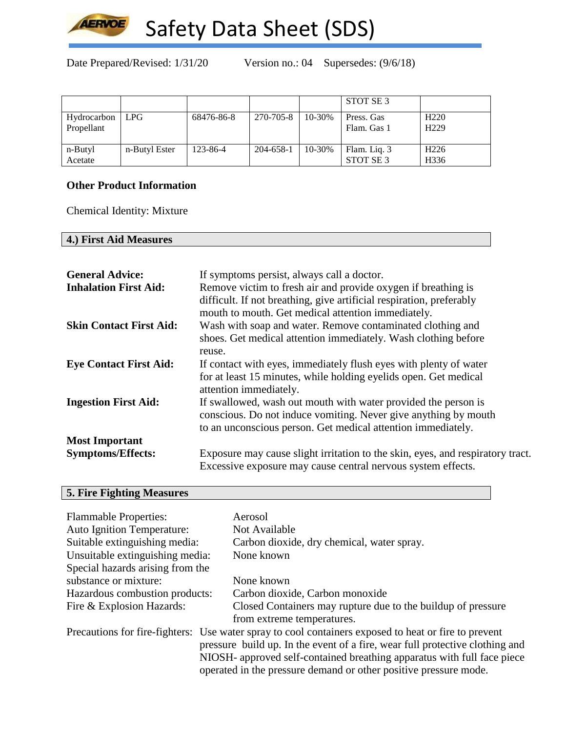

Date Prepared/Revised: 1/31/20 Version no.: 04 Supersedes: (9/6/18)

|                           |               |            |           |        | STOT SE 3                            |                                      |
|---------------------------|---------------|------------|-----------|--------|--------------------------------------|--------------------------------------|
| Hydrocarbon<br>Propellant | <b>LPG</b>    | 68476-86-8 | 270-705-8 | 10-30% | Press. Gas<br>Flam. Gas 1            | H <sub>220</sub><br>H <sub>229</sub> |
| n-Butyl<br>Acetate        | n-Butyl Ester | 123-86-4   | 204-658-1 | 10-30% | Flam. Liq. 3<br>STOT SE <sub>3</sub> | H <sub>226</sub><br>H336             |

## **Other Product Information**

Chemical Identity: Mixture

## **4.) First Aid Measures**

| <b>General Advice:</b>         | If symptoms persist, always call a doctor.                                                                                                     |
|--------------------------------|------------------------------------------------------------------------------------------------------------------------------------------------|
| <b>Inhalation First Aid:</b>   | Remove victim to fresh air and provide oxygen if breathing is                                                                                  |
|                                | difficult. If not breathing, give artificial respiration, preferably                                                                           |
|                                | mouth to mouth. Get medical attention immediately.                                                                                             |
| <b>Skin Contact First Aid:</b> | Wash with soap and water. Remove contaminated clothing and                                                                                     |
|                                | shoes. Get medical attention immediately. Wash clothing before                                                                                 |
|                                | reuse.                                                                                                                                         |
| <b>Eye Contact First Aid:</b>  | If contact with eyes, immediately flush eyes with plenty of water                                                                              |
|                                | for at least 15 minutes, while holding eyelids open. Get medical                                                                               |
|                                | attention immediately.                                                                                                                         |
| <b>Ingestion First Aid:</b>    | If swallowed, wash out mouth with water provided the person is                                                                                 |
|                                | conscious. Do not induce vomiting. Never give anything by mouth                                                                                |
|                                | to an unconscious person. Get medical attention immediately.                                                                                   |
| <b>Most Important</b>          |                                                                                                                                                |
| <b>Symptoms/Effects:</b>       | Exposure may cause slight irritation to the skin, eyes, and respiratory tract.<br>Excessive exposure may cause central nervous system effects. |

## **5. Fire Fighting Measures**

| <b>Flammable Properties:</b>      | Aerosol                                                                                              |
|-----------------------------------|------------------------------------------------------------------------------------------------------|
| <b>Auto Ignition Temperature:</b> | Not Available                                                                                        |
| Suitable extinguishing media:     | Carbon dioxide, dry chemical, water spray.                                                           |
| Unsuitable extinguishing media:   | None known                                                                                           |
| Special hazards arising from the  |                                                                                                      |
| substance or mixture:             | None known                                                                                           |
| Hazardous combustion products:    | Carbon dioxide, Carbon monoxide                                                                      |
| Fire & Explosion Hazards:         | Closed Containers may rupture due to the buildup of pressure                                         |
|                                   | from extreme temperatures.                                                                           |
|                                   | Precautions for fire-fighters: Use water spray to cool containers exposed to heat or fire to prevent |
|                                   | pressure build up. In the event of a fire, wear full protective clothing and                         |
|                                   | NIOSH- approved self-contained breathing apparatus with full face piece                              |
|                                   | operated in the pressure demand or other positive pressure mode.                                     |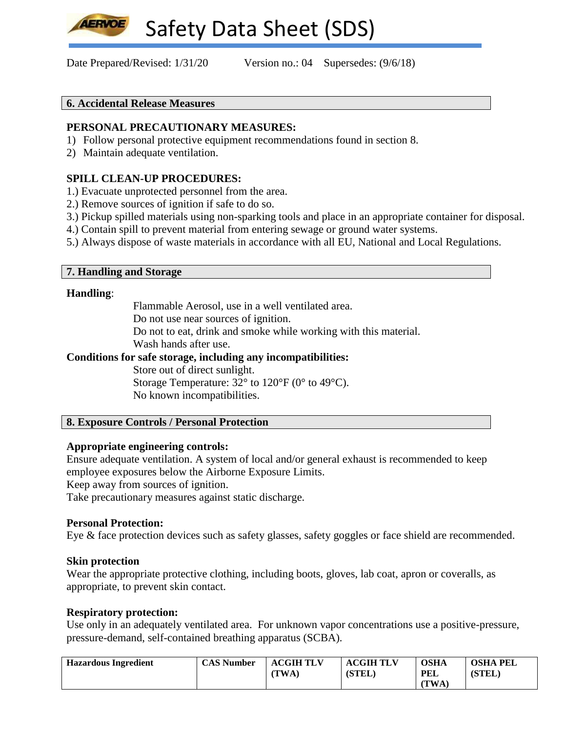Date Prepared/Revised:  $1/31/20$  Version no.: 04 Supersedes: (9/6/18)

#### **6. Accidental Release Measures**

#### **PERSONAL PRECAUTIONARY MEASURES:**

- 1) Follow personal protective equipment recommendations found in section 8.
- 2) Maintain adequate ventilation.

### **SPILL CLEAN-UP PROCEDURES:**

- 1.) Evacuate unprotected personnel from the area.
- 2.) Remove sources of ignition if safe to do so.
- 3.) Pickup spilled materials using non-sparking tools and place in an appropriate container for disposal.
- 4.) Contain spill to prevent material from entering sewage or ground water systems.
- 5.) Always dispose of waste materials in accordance with all EU, National and Local Regulations.

#### **7. Handling and Storage**

#### **Handling**:

Flammable Aerosol, use in a well ventilated area.

Do not use near sources of ignition.

Do not to eat, drink and smoke while working with this material.

Wash hands after use.

#### **Conditions for safe storage, including any incompatibilities:**

Store out of direct sunlight.

Storage Temperature:  $32^{\circ}$  to  $120^{\circ}$ F (0° to 49°C). No known incompatibilities.

#### **8. Exposure Controls / Personal Protection**

#### **Appropriate engineering controls:**

Ensure adequate ventilation. A system of local and/or general exhaust is recommended to keep employee exposures below the Airborne Exposure Limits.

Keep away from sources of ignition.

Take precautionary measures against static discharge.

#### **Personal Protection:**

Eye & face protection devices such as safety glasses, safety goggles or face shield are recommended.

#### **Skin protection**

Wear the appropriate protective clothing, including boots, gloves, lab coat, apron or coveralls, as appropriate, to prevent skin contact.

#### **Respiratory protection:**

Use only in an adequately ventilated area. For unknown vapor concentrations use a positive-pressure, pressure-demand, self-contained breathing apparatus (SCBA).

| <b>Hazardous Ingredient</b> | <b>CAS Number</b> | <b>ACGIH TLV</b> | <b>ACGIH TLV</b> | <b>OSHA</b> | <b>OSHA PEL</b> |
|-----------------------------|-------------------|------------------|------------------|-------------|-----------------|
|                             |                   | TWA.             | <b>(STEL)</b>    | <b>PEL</b>  | (STEL)          |
|                             |                   |                  |                  | TWA.        |                 |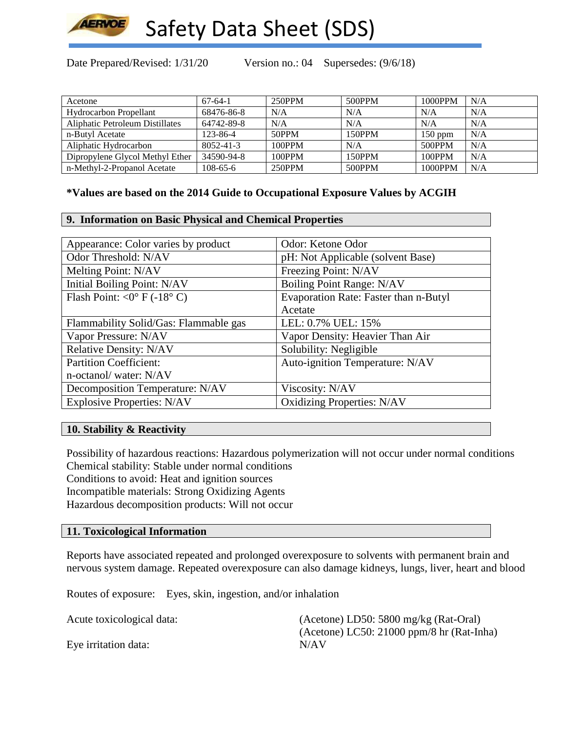

Date Prepared/Revised: 1/31/20 Version no.: 04 Supersedes: (9/6/18)

| Acetone                         | $67-64-1$  | 250PPM | 500PPM | 1000PPM   | N/A |
|---------------------------------|------------|--------|--------|-----------|-----|
| <b>Hydrocarbon Propellant</b>   | 68476-86-8 | N/A    | N/A    | N/A       | N/A |
| Aliphatic Petroleum Distillates | 64742-89-8 | N/A    | N/A    | N/A       | N/A |
| n-Butyl Acetate                 | 123-86-4   | 50PPM  | 150PPM | $150$ ppm | N/A |
| Aliphatic Hydrocarbon           | 8052-41-3  | 100PPM | N/A    | 500PPM    | N/A |
| Dipropylene Glycol Methyl Ether | 34590-94-8 | 100PPM | 150PPM | 100PPM    | N/A |
| n-Methyl-2-Propanol Acetate     | 108-65-6   | 250PPM | 500PPM | 1000PPM   | N/A |

#### **\*Values are based on the 2014 Guide to Occupational Exposure Values by ACGIH**

#### **9. Information on Basic Physical and Chemical Properties**

| Appearance: Color varies by product   | Odor: Ketone Odor                     |
|---------------------------------------|---------------------------------------|
| Odor Threshold: N/AV                  | pH: Not Applicable (solvent Base)     |
| Melting Point: N/AV                   | Freezing Point: N/AV                  |
| Initial Boiling Point: N/AV           | <b>Boiling Point Range: N/AV</b>      |
| Flash Point: < $0^{\circ}$ F (-18° C) | Evaporation Rate: Faster than n-Butyl |
|                                       | Acetate                               |
| Flammability Solid/Gas: Flammable gas | LEL: 0.7% UEL: 15%                    |
| Vapor Pressure: N/AV                  | Vapor Density: Heavier Than Air       |
| <b>Relative Density: N/AV</b>         | Solubility: Negligible                |
| <b>Partition Coefficient:</b>         | Auto-ignition Temperature: N/AV       |
| n-octanol/water: N/AV                 |                                       |
| Decomposition Temperature: N/AV       | Viscosity: N/AV                       |
| <b>Explosive Properties: N/AV</b>     | <b>Oxidizing Properties: N/AV</b>     |

#### **10. Stability & Reactivity**

Possibility of hazardous reactions: Hazardous polymerization will not occur under normal conditions Chemical stability: Stable under normal conditions Conditions to avoid: Heat and ignition sources Incompatible materials: Strong Oxidizing Agents Hazardous decomposition products: Will not occur

#### **11. Toxicological Information**

Reports have associated repeated and prolonged overexposure to solvents with permanent brain and nervous system damage. Repeated overexposure can also damage kidneys, lungs, liver, heart and blood

Routes of exposure: Eyes, skin, ingestion, and/or inhalation

Acute toxicological data: (Acetone) LD50: 5800 mg/kg (Rat-Oral) (Acetone) LC50: 21000 ppm/8 hr (Rat-Inha) Eye irritation data: N/AV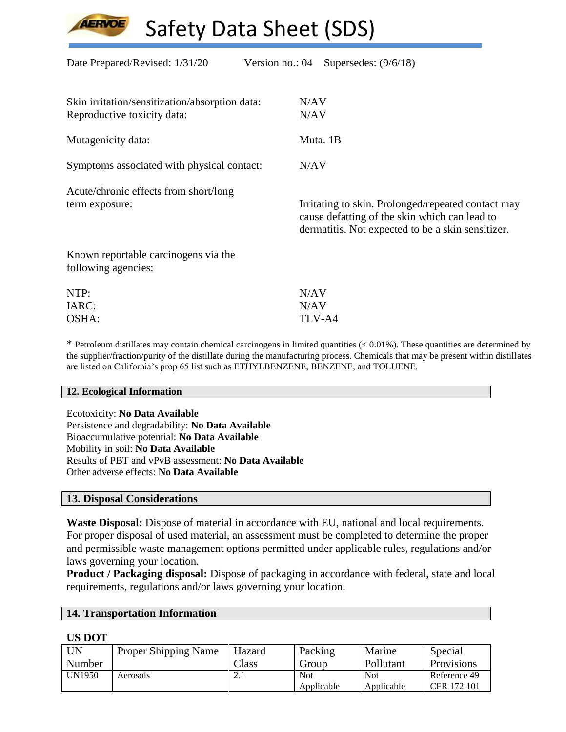Date Prepared/Revised:  $1/31/20$  Version no.: 04 Supersedes: (9/6/18) Skin irritation/sensitization/absorption data: N/AV Reproductive toxicity data: N/AV Mutagenicity data: Muta. 1B Symptoms associated with physical contact: N/AV Acute/chronic effects from short/long term exposure: Irritating to skin. Prolonged/repeated contact may cause defatting of the skin which can lead to dermatitis. Not expected to be a skin sensitizer. Known reportable carcinogens via the following agencies: NTP:  $N/AV$ IARC: N/AV OSHA: TLV-A4

 $*$  Petroleum distillates may contain chemical carcinogens in limited quantities  $( $0.01\%$ )$ . These quantities are determined by the supplier/fraction/purity of the distillate during the manufacturing process. Chemicals that may be present within distillates are listed on California's prop 65 list such as ETHYLBENZENE, BENZENE, and TOLUENE.

#### **12. Ecological Information**

Ecotoxicity: **No Data Available** Persistence and degradability: **No Data Available** Bioaccumulative potential: **No Data Available** Mobility in soil: **No Data Available** Results of PBT and vPvB assessment: **No Data Available** Other adverse effects: **No Data Available**

#### **13. Disposal Considerations**

**Waste Disposal:** Dispose of material in accordance with EU, national and local requirements. For proper disposal of used material, an assessment must be completed to determine the proper and permissible waste management options permitted under applicable rules, regulations and/or laws governing your location.

**Product / Packaging disposal:** Dispose of packaging in accordance with federal, state and local requirements, regulations and/or laws governing your location.

#### **14. Transportation Information**

#### **US DOT**

| UN            | <b>Proper Shipping Name</b> | Hazard         | Packing    | Marine     | Special           |
|---------------|-----------------------------|----------------|------------|------------|-------------------|
| Number        |                             | $\text{Class}$ | Group      | Pollutant  | <b>Provisions</b> |
| <b>UN1950</b> | Aerosols                    | 4. l           | <b>Not</b> | <b>Not</b> | Reference 49      |
|               |                             |                | Applicable | Applicable | CFR 172.101       |